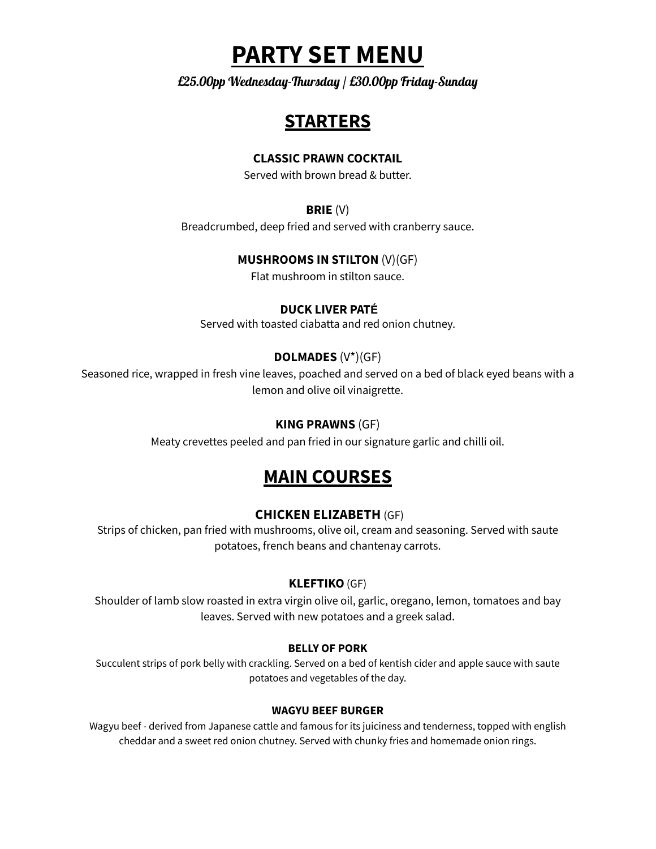# **PARTY SET MENU**

£25.00pp Wednesday-Thursday / £30.00pp Friday-Sunday

# **STARTERS**

### **CLASSIC PRAWN COCKTAIL**

Served with brown bread & butter.

### **BRIE** (V)

Breadcrumbed, deep fried and served with cranberry sauce.

# **MUSHROOMS IN STILTON** (V)(GF)

Flat mushroom in stilton sauce.

### **DUCK LIVER PATÉ**

Served with toasted ciabatta and red onion chutney.

# **DOLMADES** (V\*)(GF)

Seasoned rice, wrapped in fresh vine leaves, poached and served on a bed of black eyed beans with a lemon and olive oil vinaigrette.

## **KING PRAWNS** (GF)

Meaty crevettes peeled and pan fried in our signature garlic and chilli oil.

# **MAIN COURSES**

# **CHICKEN ELIZABETH** (GF)

Strips of chicken, pan fried with mushrooms, olive oil, cream and seasoning. Served with saute potatoes, french beans and chantenay carrots.

# **KLEFTIKO**(GF)

Shoulder of lamb slow roasted in extra virgin olive oil, garlic, oregano, lemon, tomatoes and bay leaves. Served with new potatoes and a greek salad.

#### **BELLY OF PORK**

Succulent strips of pork belly with crackling. Served on a bed of kentish cider and apple sauce with saute potatoes and vegetables of the day.

#### **WAGYU BEEF BURGER**

Wagyu beef - derived from Japanese cattle and famous for its juiciness and tenderness, topped with english cheddar and a sweet red onion chutney. Served with chunky fries and homemade onion rings.